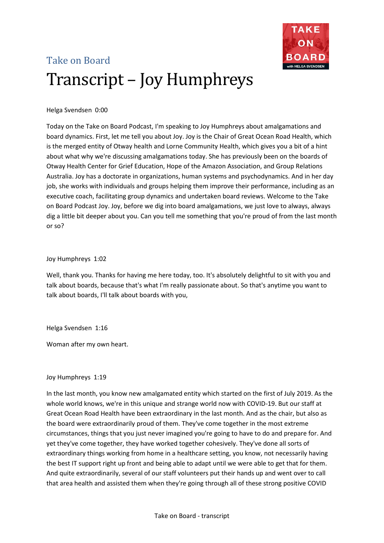

# Take on Board Transcript – Joy Humphreys

## Helga Svendsen 0:00

Today on the Take on Board Podcast, I'm speaking to Joy Humphreys about amalgamations and board dynamics. First, let me tell you about Joy. Joy is the Chair of Great Ocean Road Health, which is the merged entity of Otway health and Lorne Community Health, which gives you a bit of a hint about what why we're discussing amalgamations today. She has previously been on the boards of Otway Health Center for Grief Education, Hope of the Amazon Association, and Group Relations Australia. Joy has a doctorate in organizations, human systems and psychodynamics. And in her day job, she works with individuals and groups helping them improve their performance, including as an executive coach, facilitating group dynamics and undertaken board reviews. Welcome to the Take on Board Podcast Joy. Joy, before we dig into board amalgamations, we just love to always, always dig a little bit deeper about you. Can you tell me something that you're proud of from the last month or so?

## Joy Humphreys 1:02

Well, thank you. Thanks for having me here today, too. It's absolutely delightful to sit with you and talk about boards, because that's what I'm really passionate about. So that's anytime you want to talk about boards, I'll talk about boards with you,

## Helga Svendsen 1:16

Woman after my own heart.

# Joy Humphreys 1:19

In the last month, you know new amalgamated entity which started on the first of July 2019. As the whole world knows, we're in this unique and strange world now with COVID-19. But our staff at Great Ocean Road Health have been extraordinary in the last month. And as the chair, but also as the board were extraordinarily proud of them. They've come together in the most extreme circumstances, things that you just never imagined you're going to have to do and prepare for. And yet they've come together, they have worked together cohesively. They've done all sorts of extraordinary things working from home in a healthcare setting, you know, not necessarily having the best IT support right up front and being able to adapt until we were able to get that for them. And quite extraordinarily, several of our staff volunteers put their hands up and went over to call that area health and assisted them when they're going through all of these strong positive COVID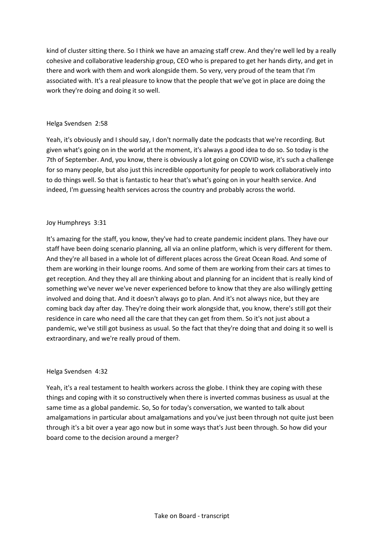kind of cluster sitting there. So I think we have an amazing staff crew. And they're well led by a really cohesive and collaborative leadership group, CEO who is prepared to get her hands dirty, and get in there and work with them and work alongside them. So very, very proud of the team that I'm associated with. It's a real pleasure to know that the people that we've got in place are doing the work they're doing and doing it so well.

## Helga Svendsen 2:58

Yeah, it's obviously and I should say, I don't normally date the podcasts that we're recording. But given what's going on in the world at the moment, it's always a good idea to do so. So today is the 7th of September. And, you know, there is obviously a lot going on COVID wise, it's such a challenge for so many people, but also just this incredible opportunity for people to work collaboratively into to do things well. So that is fantastic to hear that's what's going on in your health service. And indeed, I'm guessing health services across the country and probably across the world.

## Joy Humphreys 3:31

It's amazing for the staff, you know, they've had to create pandemic incident plans. They have our staff have been doing scenario planning, all via an online platform, which is very different for them. And they're all based in a whole lot of different places across the Great Ocean Road. And some of them are working in their lounge rooms. And some of them are working from their cars at times to get reception. And they they all are thinking about and planning for an incident that is really kind of something we've never we've never experienced before to know that they are also willingly getting involved and doing that. And it doesn't always go to plan. And it's not always nice, but they are coming back day after day. They're doing their work alongside that, you know, there's still got their residence in care who need all the care that they can get from them. So it's not just about a pandemic, we've still got business as usual. So the fact that they're doing that and doing it so well is extraordinary, and we're really proud of them.

## Helga Svendsen 4:32

Yeah, it's a real testament to health workers across the globe. I think they are coping with these things and coping with it so constructively when there is inverted commas business as usual at the same time as a global pandemic. So, So for today's conversation, we wanted to talk about amalgamations in particular about amalgamations and you've just been through not quite just been through it's a bit over a year ago now but in some ways that's Just been through. So how did your board come to the decision around a merger?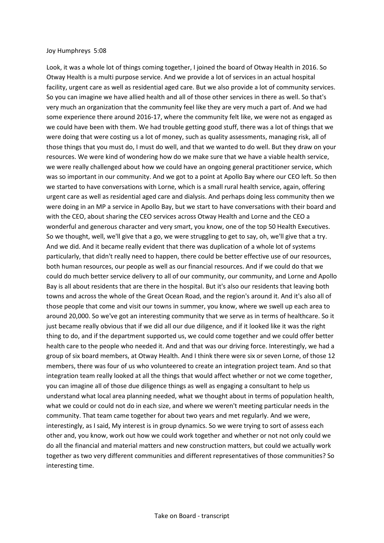#### Joy Humphreys 5:08

Look, it was a whole lot of things coming together, I joined the board of Otway Health in 2016. So Otway Health is a multi purpose service. And we provide a lot of services in an actual hospital facility, urgent care as well as residential aged care. But we also provide a lot of community services. So you can imagine we have allied health and all of those other services in there as well. So that's very much an organization that the community feel like they are very much a part of. And we had some experience there around 2016-17, where the community felt like, we were not as engaged as we could have been with them. We had trouble getting good stuff, there was a lot of things that we were doing that were costing us a lot of money, such as quality assessments, managing risk, all of those things that you must do, I must do well, and that we wanted to do well. But they draw on your resources. We were kind of wondering how do we make sure that we have a viable health service, we were really challenged about how we could have an ongoing general practitioner service, which was so important in our community. And we got to a point at Apollo Bay where our CEO left. So then we started to have conversations with Lorne, which is a small rural health service, again, offering urgent care as well as residential aged care and dialysis. And perhaps doing less community then we were doing in an MP a service in Apollo Bay, but we start to have conversations with their board and with the CEO, about sharing the CEO services across Otway Health and Lorne and the CEO a wonderful and generous character and very smart, you know, one of the top 50 Health Executives. So we thought, well, we'll give that a go, we were struggling to get to say, oh, we'll give that a try. And we did. And it became really evident that there was duplication of a whole lot of systems particularly, that didn't really need to happen, there could be better effective use of our resources, both human resources, our people as well as our financial resources. And if we could do that we could do much better service delivery to all of our community, our community, and Lorne and Apollo Bay is all about residents that are there in the hospital. But it's also our residents that leaving both towns and across the whole of the Great Ocean Road, and the region's around it. And it's also all of those people that come and visit our towns in summer, you know, where we swell up each area to around 20,000. So we've got an interesting community that we serve as in terms of healthcare. So it just became really obvious that if we did all our due diligence, and if it looked like it was the right thing to do, and if the department supported us, we could come together and we could offer better health care to the people who needed it. And and that was our driving force. Interestingly, we had a group of six board members, at Otway Health. And I think there were six or seven Lorne, of those 12 members, there was four of us who volunteered to create an integration project team. And so that integration team really looked at all the things that would affect whether or not we come together, you can imagine all of those due diligence things as well as engaging a consultant to help us understand what local area planning needed, what we thought about in terms of population health, what we could or could not do in each size, and where we weren't meeting particular needs in the community. That team came together for about two years and met regularly. And we were, interestingly, as I said, My interest is in group dynamics. So we were trying to sort of assess each other and, you know, work out how we could work together and whether or not not only could we do all the financial and material matters and new construction matters, but could we actually work together as two very different communities and different representatives of those communities? So interesting time.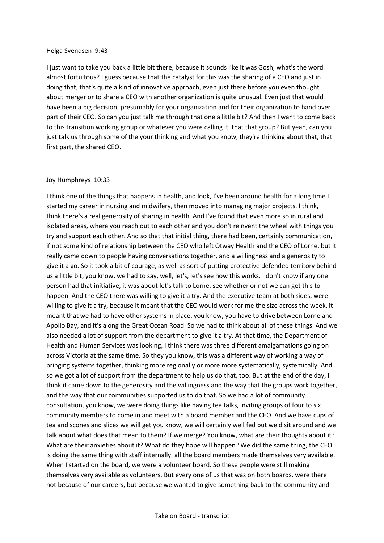#### Helga Svendsen 9:43

I just want to take you back a little bit there, because it sounds like it was Gosh, what's the word almost fortuitous? I guess because that the catalyst for this was the sharing of a CEO and just in doing that, that's quite a kind of innovative approach, even just there before you even thought about merger or to share a CEO with another organization is quite unusual. Even just that would have been a big decision, presumably for your organization and for their organization to hand over part of their CEO. So can you just talk me through that one a little bit? And then I want to come back to this transition working group or whatever you were calling it, that that group? But yeah, can you just talk us through some of the your thinking and what you know, they're thinking about that, that first part, the shared CEO.

#### Joy Humphreys 10:33

I think one of the things that happens in health, and look, I've been around health for a long time I started my career in nursing and midwifery, then moved into managing major projects, I think, I think there's a real generosity of sharing in health. And I've found that even more so in rural and isolated areas, where you reach out to each other and you don't reinvent the wheel with things you try and support each other. And so that that initial thing, there had been, certainly communication, if not some kind of relationship between the CEO who left Otway Health and the CEO of Lorne, but it really came down to people having conversations together, and a willingness and a generosity to give it a go. So it took a bit of courage, as well as sort of putting protective defended territory behind us a little bit, you know, we had to say, well, let's, let's see how this works. I don't know if any one person had that initiative, it was about let's talk to Lorne, see whether or not we can get this to happen. And the CEO there was willing to give it a try. And the executive team at both sides, were willing to give it a try, because it meant that the CEO would work for me the size across the week, it meant that we had to have other systems in place, you know, you have to drive between Lorne and Apollo Bay, and it's along the Great Ocean Road. So we had to think about all of these things. And we also needed a lot of support from the department to give it a try. At that time, the Department of Health and Human Services was looking, I think there was three different amalgamations going on across Victoria at the same time. So they you know, this was a different way of working a way of bringing systems together, thinking more regionally or more more systematically, systemically. And so we got a lot of support from the department to help us do that, too. But at the end of the day, I think it came down to the generosity and the willingness and the way that the groups work together, and the way that our communities supported us to do that. So we had a lot of community consultation, you know, we were doing things like having tea talks, inviting groups of four to six community members to come in and meet with a board member and the CEO. And we have cups of tea and scones and slices we will get you know, we will certainly well fed but we'd sit around and we talk about what does that mean to them? If we merge? You know, what are their thoughts about it? What are their anxieties about it? What do they hope will happen? We did the same thing, the CEO is doing the same thing with staff internally, all the board members made themselves very available. When I started on the board, we were a volunteer board. So these people were still making themselves very available as volunteers. But every one of us that was on both boards, were there not because of our careers, but because we wanted to give something back to the community and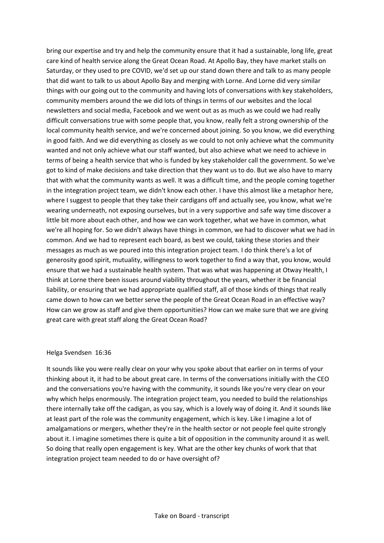bring our expertise and try and help the community ensure that it had a sustainable, long life, great care kind of health service along the Great Ocean Road. At Apollo Bay, they have market stalls on Saturday, or they used to pre COVID, we'd set up our stand down there and talk to as many people that did want to talk to us about Apollo Bay and merging with Lorne. And Lorne did very similar things with our going out to the community and having lots of conversations with key stakeholders, community members around the we did lots of things in terms of our websites and the local newsletters and social media, Facebook and we went out as as much as we could we had really difficult conversations true with some people that, you know, really felt a strong ownership of the local community health service, and we're concerned about joining. So you know, we did everything in good faith. And we did everything as closely as we could to not only achieve what the community wanted and not only achieve what our staff wanted, but also achieve what we need to achieve in terms of being a health service that who is funded by key stakeholder call the government. So we've got to kind of make decisions and take direction that they want us to do. But we also have to marry that with what the community wants as well. It was a difficult time, and the people coming together in the integration project team, we didn't know each other. I have this almost like a metaphor here, where I suggest to people that they take their cardigans off and actually see, you know, what we're wearing underneath, not exposing ourselves, but in a very supportive and safe way time discover a little bit more about each other, and how we can work together, what we have in common, what we're all hoping for. So we didn't always have things in common, we had to discover what we had in common. And we had to represent each board, as best we could, taking these stories and their messages as much as we poured into this integration project team. I do think there's a lot of generosity good spirit, mutuality, willingness to work together to find a way that, you know, would ensure that we had a sustainable health system. That was what was happening at Otway Health, I think at Lorne there been issues around viability throughout the years, whether it be financial liability, or ensuring that we had appropriate qualified staff, all of those kinds of things that really came down to how can we better serve the people of the Great Ocean Road in an effective way? How can we grow as staff and give them opportunities? How can we make sure that we are giving great care with great staff along the Great Ocean Road?

#### Helga Svendsen 16:36

It sounds like you were really clear on your why you spoke about that earlier on in terms of your thinking about it, it had to be about great care. In terms of the conversations initially with the CEO and the conversations you're having with the community, it sounds like you're very clear on your why which helps enormously. The integration project team, you needed to build the relationships there internally take off the cadigan, as you say, which is a lovely way of doing it. And it sounds like at least part of the role was the community engagement, which is key. Like I imagine a lot of amalgamations or mergers, whether they're in the health sector or not people feel quite strongly about it. I imagine sometimes there is quite a bit of opposition in the community around it as well. So doing that really open engagement is key. What are the other key chunks of work that that integration project team needed to do or have oversight of?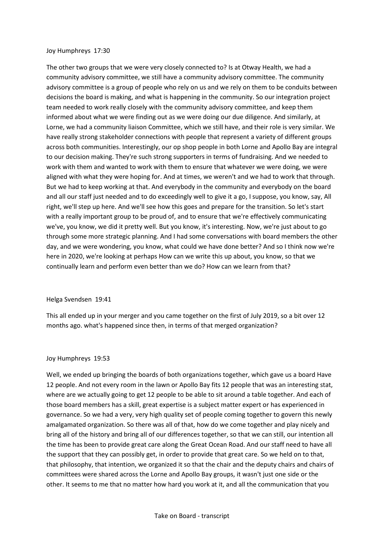#### Joy Humphreys 17:30

The other two groups that we were very closely connected to? Is at Otway Health, we had a community advisory committee, we still have a community advisory committee. The community advisory committee is a group of people who rely on us and we rely on them to be conduits between decisions the board is making, and what is happening in the community. So our integration project team needed to work really closely with the community advisory committee, and keep them informed about what we were finding out as we were doing our due diligence. And similarly, at Lorne, we had a community liaison Committee, which we still have, and their role is very similar. We have really strong stakeholder connections with people that represent a variety of different groups across both communities. Interestingly, our op shop people in both Lorne and Apollo Bay are integral to our decision making. They're such strong supporters in terms of fundraising. And we needed to work with them and wanted to work with them to ensure that whatever we were doing, we were aligned with what they were hoping for. And at times, we weren't and we had to work that through. But we had to keep working at that. And everybody in the community and everybody on the board and all our staff just needed and to do exceedingly well to give it a go, I suppose, you know, say, All right, we'll step up here. And we'll see how this goes and prepare for the transition. So let's start with a really important group to be proud of, and to ensure that we're effectively communicating we've, you know, we did it pretty well. But you know, it's interesting. Now, we're just about to go through some more strategic planning. And I had some conversations with board members the other day, and we were wondering, you know, what could we have done better? And so I think now we're here in 2020, we're looking at perhaps How can we write this up about, you know, so that we continually learn and perform even better than we do? How can we learn from that?

## Helga Svendsen 19:41

This all ended up in your merger and you came together on the first of July 2019, so a bit over 12 months ago. what's happened since then, in terms of that merged organization?

#### Joy Humphreys 19:53

Well, we ended up bringing the boards of both organizations together, which gave us a board Have 12 people. And not every room in the lawn or Apollo Bay fits 12 people that was an interesting stat, where are we actually going to get 12 people to be able to sit around a table together. And each of those board members has a skill, great expertise is a subject matter expert or has experienced in governance. So we had a very, very high quality set of people coming together to govern this newly amalgamated organization. So there was all of that, how do we come together and play nicely and bring all of the history and bring all of our differences together, so that we can still, our intention all the time has been to provide great care along the Great Ocean Road. And our staff need to have all the support that they can possibly get, in order to provide that great care. So we held on to that, that philosophy, that intention, we organized it so that the chair and the deputy chairs and chairs of committees were shared across the Lorne and Apollo Bay groups, it wasn't just one side or the other. It seems to me that no matter how hard you work at it, and all the communication that you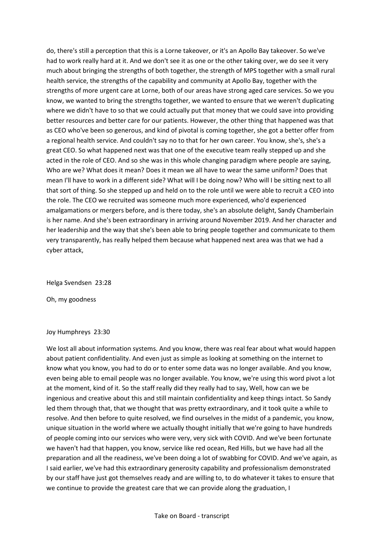do, there's still a perception that this is a Lorne takeover, or it's an Apollo Bay takeover. So we've had to work really hard at it. And we don't see it as one or the other taking over, we do see it very much about bringing the strengths of both together, the strength of MPS together with a small rural health service, the strengths of the capability and community at Apollo Bay, together with the strengths of more urgent care at Lorne, both of our areas have strong aged care services. So we you know, we wanted to bring the strengths together, we wanted to ensure that we weren't duplicating where we didn't have to so that we could actually put that money that we could save into providing better resources and better care for our patients. However, the other thing that happened was that as CEO who've been so generous, and kind of pivotal is coming together, she got a better offer from a regional health service. And couldn't say no to that for her own career. You know, she's, she's a great CEO. So what happened next was that one of the executive team really stepped up and she acted in the role of CEO. And so she was in this whole changing paradigm where people are saying, Who are we? What does it mean? Does it mean we all have to wear the same uniform? Does that mean I'll have to work in a different side? What will I be doing now? Who will I be sitting next to all that sort of thing. So she stepped up and held on to the role until we were able to recruit a CEO into the role. The CEO we recruited was someone much more experienced, who'd experienced amalgamations or mergers before, and is there today, she's an absolute delight, Sandy Chamberlain is her name. And she's been extraordinary in arriving around November 2019. And her character and her leadership and the way that she's been able to bring people together and communicate to them very transparently, has really helped them because what happened next area was that we had a cyber attack,

Helga Svendsen 23:28

Oh, my goodness

#### Joy Humphreys 23:30

We lost all about information systems. And you know, there was real fear about what would happen about patient confidentiality. And even just as simple as looking at something on the internet to know what you know, you had to do or to enter some data was no longer available. And you know, even being able to email people was no longer available. You know, we're using this word pivot a lot at the moment, kind of it. So the staff really did they really had to say, Well, how can we be ingenious and creative about this and still maintain confidentiality and keep things intact. So Sandy led them through that, that we thought that was pretty extraordinary, and it took quite a while to resolve. And then before to quite resolved, we find ourselves in the midst of a pandemic, you know, unique situation in the world where we actually thought initially that we're going to have hundreds of people coming into our services who were very, very sick with COVID. And we've been fortunate we haven't had that happen, you know, service like red ocean, Red Hills, but we have had all the preparation and all the readiness, we've been doing a lot of swabbing for COVID. And we've again, as I said earlier, we've had this extraordinary generosity capability and professionalism demonstrated by our staff have just got themselves ready and are willing to, to do whatever it takes to ensure that we continue to provide the greatest care that we can provide along the graduation, I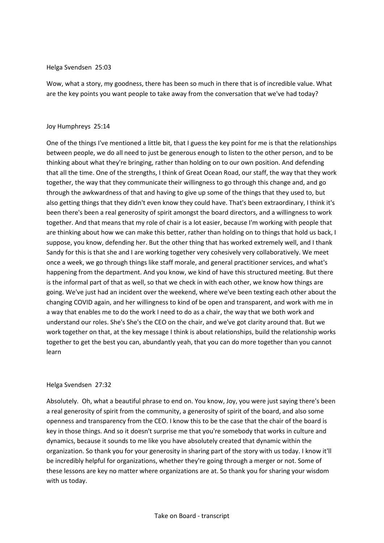#### Helga Svendsen 25:03

Wow, what a story, my goodness, there has been so much in there that is of incredible value. What are the key points you want people to take away from the conversation that we've had today?

#### Joy Humphreys 25:14

One of the things I've mentioned a little bit, that I guess the key point for me is that the relationships between people, we do all need to just be generous enough to listen to the other person, and to be thinking about what they're bringing, rather than holding on to our own position. And defending that all the time. One of the strengths, I think of Great Ocean Road, our staff, the way that they work together, the way that they communicate their willingness to go through this change and, and go through the awkwardness of that and having to give up some of the things that they used to, but also getting things that they didn't even know they could have. That's been extraordinary, I think it's been there's been a real generosity of spirit amongst the board directors, and a willingness to work together. And that means that my role of chair is a lot easier, because I'm working with people that are thinking about how we can make this better, rather than holding on to things that hold us back, I suppose, you know, defending her. But the other thing that has worked extremely well, and I thank Sandy for this is that she and I are working together very cohesively very collaboratively. We meet once a week, we go through things like staff morale, and general practitioner services, and what's happening from the department. And you know, we kind of have this structured meeting. But there is the informal part of that as well, so that we check in with each other, we know how things are going. We've just had an incident over the weekend, where we've been texting each other about the changing COVID again, and her willingness to kind of be open and transparent, and work with me in a way that enables me to do the work I need to do as a chair, the way that we both work and understand our roles. She's She's the CEO on the chair, and we've got clarity around that. But we work together on that, at the key message I think is about relationships, build the relationship works together to get the best you can, abundantly yeah, that you can do more together than you cannot learn

#### Helga Svendsen 27:32

Absolutely. Oh, what a beautiful phrase to end on. You know, Joy, you were just saying there's been a real generosity of spirit from the community, a generosity of spirit of the board, and also some openness and transparency from the CEO. I know this to be the case that the chair of the board is key in those things. And so it doesn't surprise me that you're somebody that works in culture and dynamics, because it sounds to me like you have absolutely created that dynamic within the organization. So thank you for your generosity in sharing part of the story with us today. I know it'll be incredibly helpful for organizations, whether they're going through a merger or not. Some of these lessons are key no matter where organizations are at. So thank you for sharing your wisdom with us today.